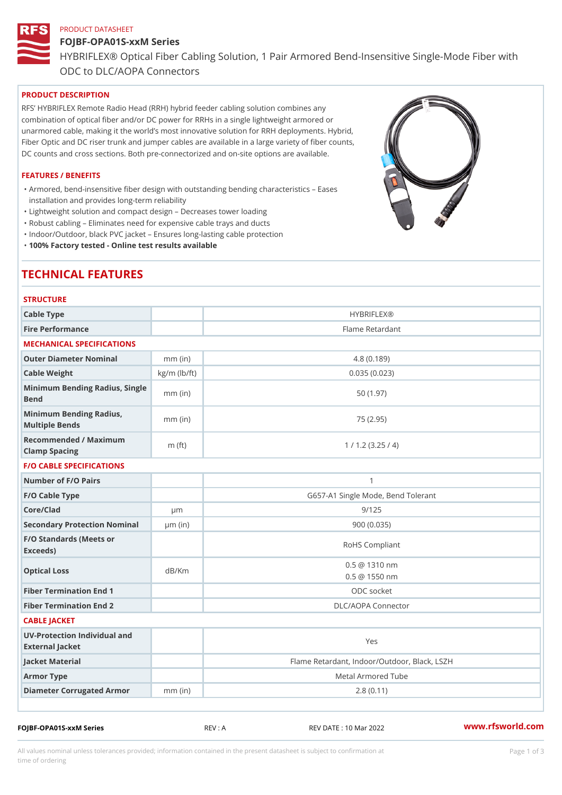# PRODUCT DATASHEET FOJBF-OPA01S-xxM Series HYBRIFLEX® Optical Fiber Cabling Solution, 1 Pair Armored Bend-Inse ODC to DLC/AOPA Connectors

# PRODUCT DESCRIPTION

RFS HYBRIFLEX Remote Radio Head (RRH) hybrid feeder cabling solution combines any combination of optical fiber and/or DC power for RRHs in a single lightweight armored or unarmored cable, making it the world s most innovative solution for RRH deployments. Hybrid, Fiber Optic and DC riser trunk and jumper cables are available in a large variety of fiber counts, DC counts and cross sections. Both pre-connectorized and on-site options are available.

#### FEATURES / BENEFITS

Armored, bend-insensitive fiber design with outstanding bending characteristics Eases " installation and provides long-term reliability

"Lightweight solution and compact design Decreases tower loading

"Robust cabling Eliminates need for expensive cable trays and ducts

"Indoor/Outdoor, black PVC jacket Ensures long-lasting cable protection

"100% Factory tested - Online test results available

# TECHNICAL FEATURES

| <b>STRUCTURE</b>                                  |                    |                                                |
|---------------------------------------------------|--------------------|------------------------------------------------|
| Cable Type                                        |                    | HYBRIFLEX <sub>®</sub>                         |
| Fire Performance                                  |                    | Flame Retardant                                |
| MECHANICAL SPECIFICATIONS                         |                    |                                                |
| Outer Diameter Nominal                            | $mm$ (in)          | 4.8(0.189)                                     |
| Cable Weight                                      | $kg/m$ ( $lb/ft$ ) | 0.035(0.023)                                   |
| Minimum Bending Radius, Single<br>-<br>Bend       |                    | 50 (1.97)                                      |
| Minimum Bending Radius, mm (in)<br>Multiple Bends |                    | 75 (2.95)                                      |
| Recommended / Maximum<br>Clamp Spacing            | $m$ (ft)           | 1 / 1.2 (3.25 / 4)                             |
| <b>F/O CABLE SPECIFICATIONS</b>                   |                    |                                                |
| Number of F/O Pairs                               |                    | $\mathbf{1}$                                   |
| F/O Cable Type                                    |                    | G657-A1 Single Mode, Bend Tolerant             |
| Core/Clad                                         | $\mu$ m            | 9/125                                          |
| Secondary Protection Nomimal(in)                  |                    | 900 (0.035)                                    |
| F/O Standards (Meets or<br>Exceeds)               |                    | RoHS Compliant                                 |
| Optical Loss                                      | dB/Km              | $0.5 \ @ \ 1310 \ nm$<br>$0.5 \ @ \ 1550 \ nm$ |
| Fiber Termination End                             |                    | ODC socket                                     |
| Fiber Termination End 2                           |                    | DLC/AOPA Connector                             |
| CABLE JACKET                                      |                    |                                                |
| UV-Protection Individual and<br>External Jacket   |                    | Yes                                            |
| Jacket Material                                   |                    | Flame Retardant, Indoor/Outdoor, Black, LSZH   |
| Armor Type                                        |                    | Metal Armored Tube                             |
| Diameter Corrugated Armomm (in)                   |                    | 2.8(0.11)                                      |
|                                                   |                    |                                                |

FOJBF-OPA01S-xxM Series REV : A REV DATE : 10 Mar 2022 [www.](https://www.rfsworld.com)rfsworld.com

All values nominal unless tolerances provided; information contained in the present datasheet is subject to Pcapgeign mation time of ordering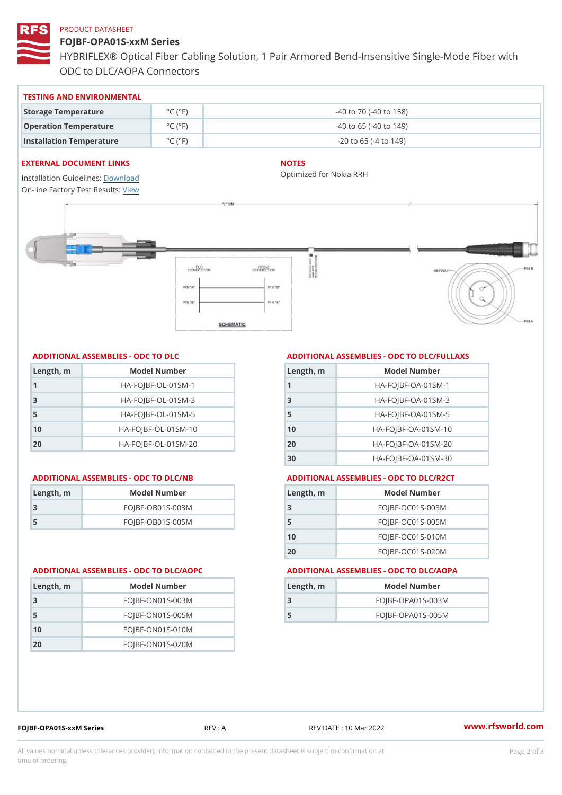#### PRODUCT DATASHEET

FOJBF-OPA01S-xxM Series HYBRIFLEX® Optical Fiber Cabling Solution, 1 Pair Armored Bend-Inse ODC to DLC/AOPA Connectors

| TESTING AND ENVIRONMENTAL                             |                                     |                             |
|-------------------------------------------------------|-------------------------------------|-----------------------------|
| Storage Temperature                                   | $^{\circ}$ C ( $^{\circ}$ F $\vert$ | -40 to 70 (-40 to 158)      |
| Operation Temperature                                 | $^{\circ}$ C ( $^{\circ}$ F $\vert$ | $-40$ to 65 ( $-40$ to 149) |
| Installation Temperature $^{\circ}$ C ( $^{\circ}$ F) |                                     | $-20$ to 65 ( $-4$ to 149)  |

#### EXTERNAL DOCUMENT LINKS

Installation Guidelwinessad On-line Factory Te[s](https://www.rfsworld.com/pictures/userfiles/programs/AAST Latest Version.zip)teResults:

#### NOTES

Optimized for Nokia RRH

# ADDITIONAL ASSEMBLIES - ODC TO DLC

| Length, m | Model Number                   |
|-----------|--------------------------------|
| 1         | $HA - FOJBF - OL - 01SM - 1$   |
| -3        | $HA - FOJBF - O L - 01SM - 3$  |
| 5         | $HA - FOJBF - OL - 01SM - 5$   |
| 10        | $HA - FOJBF - O L - 01SM - 10$ |
| 20        | $HA-FOJBF-OL-01SM-20$          |

| Length, m | Model Number       |
|-----------|--------------------|
| -3        | $FOJBF-OBO1S-OO3M$ |
| -5        | $FOJBF-OBO1S-OO5M$ |

Length, m Model Number FOJBF-ON01S-003M FOJBF-ON01S-005M FOJBF-ON01S-010M FOJBF-ON01S-020M

# ADDITIONAL ASSEMBLIES - ODC TO DLC/FULLAXS

| Length, m | Model Number                  |
|-----------|-------------------------------|
| 1         | $HA - FOJBF - OA - 01SM - 1$  |
| 3         | $HA - FOJBF - OA - 01SM - B$  |
| 5         | $HA - FOJBF - OA - 01SM - 5$  |
| 10        | HA-FOJBF-OA-01SM-10           |
| 20        | $HA - FOJBF - OA - 01SM - 20$ |
| 30        | HA-FOJBF-OA-01SM-30           |

#### ADDITIONAL ASSEMBLIES - ODC TO DLC/NB ADDITIONAL ASSEMBLIES - ODC TO DLC/R2CT

| $L$ ength, $rn$ | Model Number       |
|-----------------|--------------------|
| -3              | $FOJBF-OCO1S-OO3M$ |
| 5               | $FOJBF-OCO1S-OO5M$ |
| 10              | $FOJBF-OCO1S-010M$ |
| 2 O             | $FOJBF-OCO1S-020M$ |

#### ADDITIONAL ASSEMBLIES - ODC TO DLC/AOPC ADDITIONAL ASSEMBLIES - ODC TO DLC/AOPA

| Length, m | Model Number        |
|-----------|---------------------|
|           | $FOJBF-OPAO1S-003M$ |
| 5         | $FOJBF-OPAO1S-005M$ |
|           |                     |

FOJBF-OPA01S-xxM Series REV : A REV DATE : 10 Mar 2022 [www.](https://www.rfsworld.com)rfsworld.com

All values nominal unless tolerances provided; information contained in the present datasheet is subject to Pcapgelio an atio time of ordering